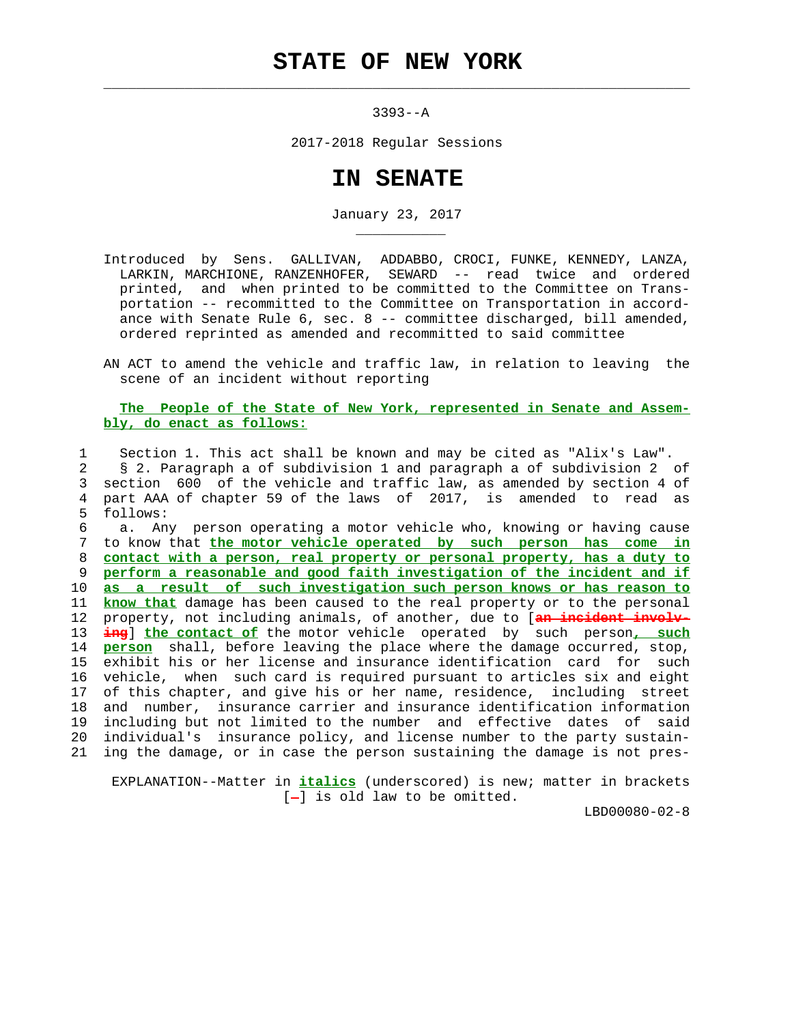## **STATE OF NEW YORK**

 $\mathcal{L}_\text{max} = \frac{1}{2} \sum_{i=1}^{n} \frac{1}{2} \sum_{i=1}^{n} \frac{1}{2} \sum_{i=1}^{n} \frac{1}{2} \sum_{i=1}^{n} \frac{1}{2} \sum_{i=1}^{n} \frac{1}{2} \sum_{i=1}^{n} \frac{1}{2} \sum_{i=1}^{n} \frac{1}{2} \sum_{i=1}^{n} \frac{1}{2} \sum_{i=1}^{n} \frac{1}{2} \sum_{i=1}^{n} \frac{1}{2} \sum_{i=1}^{n} \frac{1}{2} \sum_{i=1}^{n} \frac{1$ 

\_\_\_\_\_\_\_\_\_\_\_

3393--A

2017-2018 Regular Sessions

## **IN SENATE**

January 23, 2017

- Introduced by Sens. GALLIVAN, ADDABBO, CROCI, FUNKE, KENNEDY, LANZA, LARKIN, MARCHIONE, RANZENHOFER, SEWARD -- read twice and ordered printed, and when printed to be committed to the Committee on Trans portation -- recommitted to the Committee on Transportation in accord ance with Senate Rule  $6$ , sec.  $8$  -- committee discharged, bill amended, ordered reprinted as amended and recommitted to said committee
- AN ACT to amend the vehicle and traffic law, in relation to leaving the scene of an incident without reporting

## **The People of the State of New York, represented in Senate and Assem bly, do enact as follows:**

 1 Section 1. This act shall be known and may be cited as "Alix's Law". 2 § 2. Paragraph a of subdivision 1 and paragraph a of subdivision 2 of 3 section 600 of the vehicle and traffic law, as amended by section 4 of 4 part AAA of chapter 59 of the laws of 2017, is amended to read as 5 follows:

 6 a. Any person operating a motor vehicle who, knowing or having cause 7 to know that **the motor vehicle operated by such person has come in** 8 **contact with a person, real property or personal property, has a duty to** 9 **perform a reasonable and good faith investigation of the incident and if** 10 **as a result of such investigation such person knows or has reason to** 11 **know that** damage has been caused to the real property or to the personal 12 property, not including animals, of another, due to [**an incident involv-** 13 **ing**] **the contact of** the motor vehicle operated by such person**, such** 14 **person** shall, before leaving the place where the damage occurred, stop, 15 exhibit his or her license and insurance identification card for such 16 vehicle, when such card is required pursuant to articles six and eight 17 of this chapter, and give his or her name, residence, including street 18 and number, insurance carrier and insurance identification information 19 including but not limited to the number and effective dates of said 20 individual's insurance policy, and license number to the party sustain- 21 ing the damage, or in case the person sustaining the damage is not pres-

 EXPLANATION--Matter in **italics** (underscored) is new; matter in brackets  $[-]$  is old law to be omitted.

LBD00080-02-8